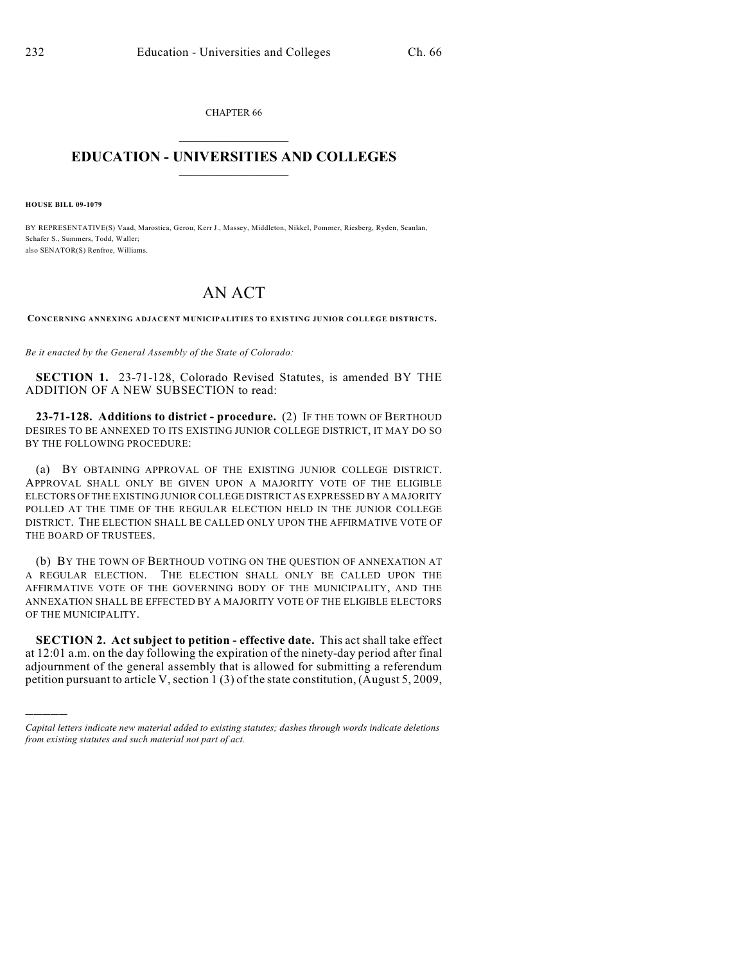CHAPTER 66  $\mathcal{L}_\text{max}$  . The set of the set of the set of the set of the set of the set of the set of the set of the set of the set of the set of the set of the set of the set of the set of the set of the set of the set of the set

## **EDUCATION - UNIVERSITIES AND COLLEGES**  $\_$

**HOUSE BILL 09-1079**

)))))

BY REPRESENTATIVE(S) Vaad, Marostica, Gerou, Kerr J., Massey, Middleton, Nikkel, Pommer, Riesberg, Ryden, Scanlan, Schafer S., Summers, Todd, Waller; also SENATOR(S) Renfroe, Williams.

## AN ACT

**CONCERNING ANNEXING ADJACENT MUNICIPALITIES TO EXISTING JUNIOR COLLEGE DISTRICTS.**

*Be it enacted by the General Assembly of the State of Colorado:*

**SECTION 1.** 23-71-128, Colorado Revised Statutes, is amended BY THE ADDITION OF A NEW SUBSECTION to read:

**23-71-128. Additions to district - procedure.** (2) IF THE TOWN OF BERTHOUD DESIRES TO BE ANNEXED TO ITS EXISTING JUNIOR COLLEGE DISTRICT, IT MAY DO SO BY THE FOLLOWING PROCEDURE:

(a) BY OBTAINING APPROVAL OF THE EXISTING JUNIOR COLLEGE DISTRICT. APPROVAL SHALL ONLY BE GIVEN UPON A MAJORITY VOTE OF THE ELIGIBLE ELECTORS OF THE EXISTING JUNIOR COLLEGE DISTRICT AS EXPRESSED BY A MAJORITY POLLED AT THE TIME OF THE REGULAR ELECTION HELD IN THE JUNIOR COLLEGE DISTRICT. THE ELECTION SHALL BE CALLED ONLY UPON THE AFFIRMATIVE VOTE OF THE BOARD OF TRUSTEES.

(b) BY THE TOWN OF BERTHOUD VOTING ON THE QUESTION OF ANNEXATION AT A REGULAR ELECTION. THE ELECTION SHALL ONLY BE CALLED UPON THE AFFIRMATIVE VOTE OF THE GOVERNING BODY OF THE MUNICIPALITY, AND THE ANNEXATION SHALL BE EFFECTED BY A MAJORITY VOTE OF THE ELIGIBLE ELECTORS OF THE MUNICIPALITY.

**SECTION 2. Act subject to petition - effective date.** This act shall take effect at 12:01 a.m. on the day following the expiration of the ninety-day period after final adjournment of the general assembly that is allowed for submitting a referendum petition pursuant to article V, section 1 (3) of the state constitution, (August 5, 2009,

*Capital letters indicate new material added to existing statutes; dashes through words indicate deletions from existing statutes and such material not part of act.*